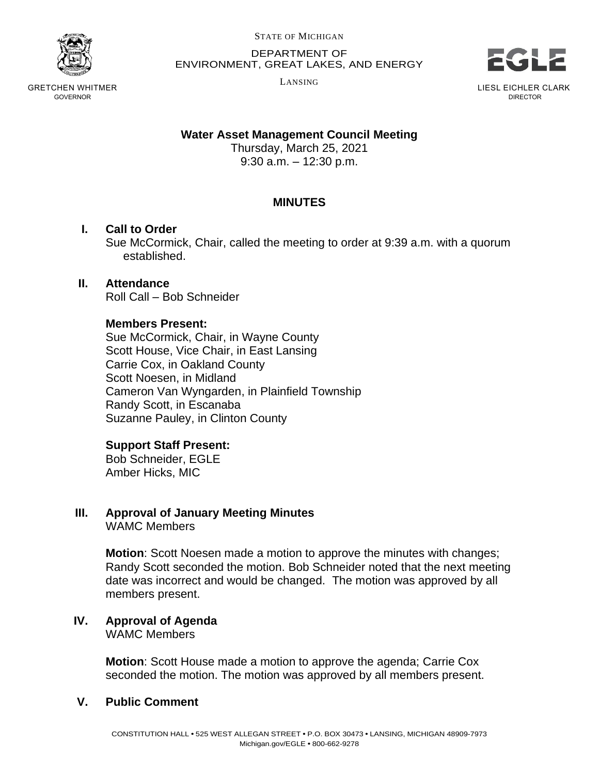

GRETCHEN WHITMER GOVERNOR

STATE OF MICHIGAN

DEPARTMENT OF ENVIRONMENT, GREAT LAKES, AND ENERGY

LANSING



LIESL EICHLER CLARK DIRECTOR

## **Water Asset Management Council Meeting**

Thursday, March 25, 2021 9:30 a.m. – 12:30 p.m.

## **MINUTES**

### **I. Call to Order**

Sue McCormick, Chair, called the meeting to order at 9:39 a.m. with a quorum established.

## **II. Attendance**

Roll Call – Bob Schneider

#### **Members Present:**

Sue McCormick, Chair, in Wayne County Scott House, Vice Chair, in East Lansing Carrie Cox, in Oakland County Scott Noesen, in Midland Cameron Van Wyngarden, in Plainfield Township Randy Scott, in Escanaba Suzanne Pauley, in Clinton County

### **Support Staff Present:**

Bob Schneider, EGLE Amber Hicks, MIC

# **III. Approval of January Meeting Minutes**

WAMC Members

**Motion**: Scott Noesen made a motion to approve the minutes with changes; Randy Scott seconded the motion. Bob Schneider noted that the next meeting date was incorrect and would be changed. The motion was approved by all members present.

#### **IV. Approval of Agenda** WAMC Members

**Motion**: Scott House made a motion to approve the agenda; Carrie Cox seconded the motion. The motion was approved by all members present.

## **V. Public Comment**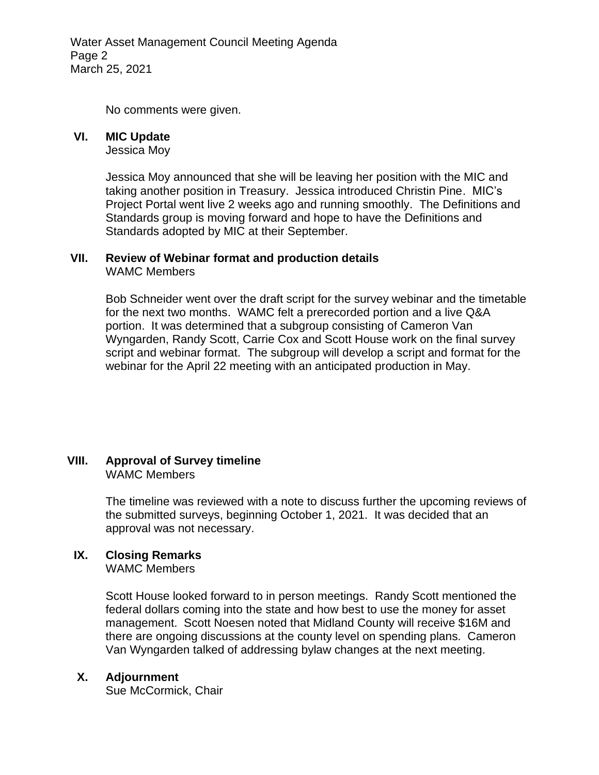Water Asset Management Council Meeting Agenda Page 2 March 25, 2021

No comments were given.

#### **VI. MIC Update**

Jessica Moy

Jessica Moy announced that she will be leaving her position with the MIC and taking another position in Treasury. Jessica introduced Christin Pine. MIC's Project Portal went live 2 weeks ago and running smoothly. The Definitions and Standards group is moving forward and hope to have the Definitions and Standards adopted by MIC at their September.

## **VII. Review of Webinar format and production details**

WAMC Members

Bob Schneider went over the draft script for the survey webinar and the timetable for the next two months. WAMC felt a prerecorded portion and a live Q&A portion. It was determined that a subgroup consisting of Cameron Van Wyngarden, Randy Scott, Carrie Cox and Scott House work on the final survey script and webinar format. The subgroup will develop a script and format for the webinar for the April 22 meeting with an anticipated production in May.

#### **VIII. Approval of Survey timeline** WAMC Members

The timeline was reviewed with a note to discuss further the upcoming reviews of the submitted surveys, beginning October 1, 2021. It was decided that an approval was not necessary.

## **IX. Closing Remarks**

WAMC Members

Scott House looked forward to in person meetings. Randy Scott mentioned the federal dollars coming into the state and how best to use the money for asset management. Scott Noesen noted that Midland County will receive \$16M and there are ongoing discussions at the county level on spending plans. Cameron Van Wyngarden talked of addressing bylaw changes at the next meeting.

### **X. Adjournment**

Sue McCormick, Chair